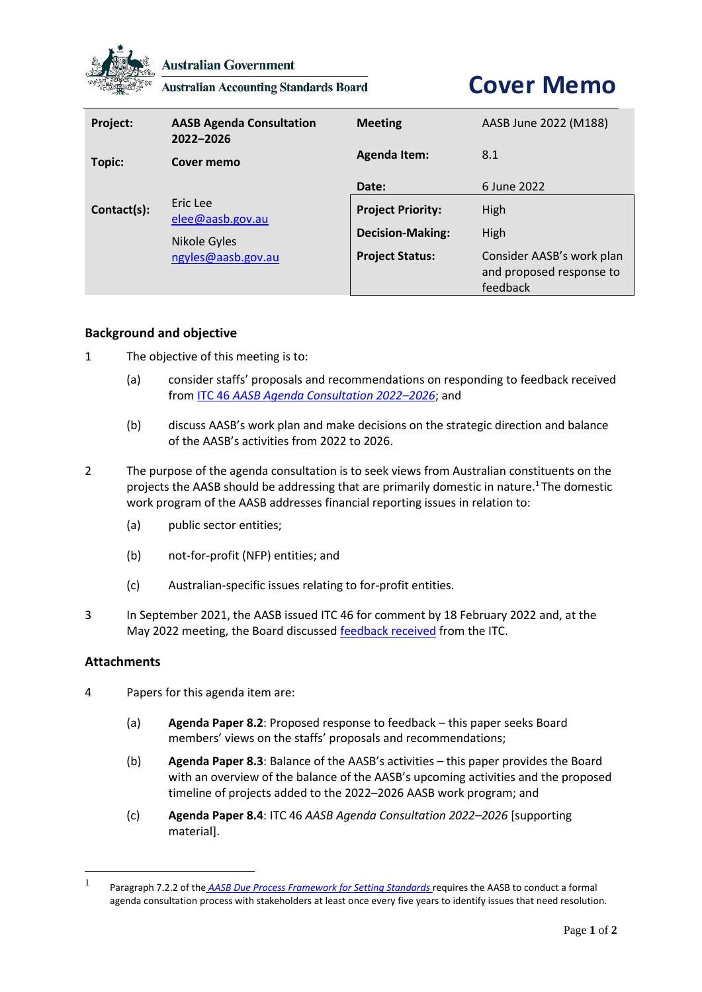

**Australian Government** 

**Australian Accounting Standards Board** 

## **Cover Memo**

| Project:    | <b>AASB Agenda Consultation</b><br>2022-2026 | <b>Meeting</b>           | AASB June 2022 (M188)                                             |
|-------------|----------------------------------------------|--------------------------|-------------------------------------------------------------------|
| Topic:      | Cover memo                                   | <b>Agenda Item:</b>      | 8.1                                                               |
|             |                                              | Date:                    | 6 June 2022                                                       |
| Contact(s): | Eric Lee<br>elee@aasb.gov.au                 | <b>Project Priority:</b> | High                                                              |
|             | Nikole Gyles                                 | <b>Decision-Making:</b>  | High                                                              |
|             | ngyles@aasb.gov.au                           | <b>Project Status:</b>   | Consider AASB's work plan<br>and proposed response to<br>feedback |

## **Background and objective**

- 1 The objective of this meeting is to:
	- (a) consider staffs' proposals and recommendations on responding to feedback received from ITC 46 *[AASB Agenda Consultation 2022](https://aasb.gov.au/admin/file/content105/c9/ITC46_10-21.pdf)–2026*; and
	- (b) discuss AASB's work plan and make decisions on the strategic direction and balance of the AASB's activities from 2022 to 2026.
- 2 The purpose of the agenda consultation is to seek views from Australian constituents on the projects the AASB should be addressing that are primarily domestic in nature.<sup>1</sup> The domestic work program of the AASB addresses financial reporting issues in relation to:
	- (a) public sector entities;
	- (b) not-for-profit (NFP) entities; and
	- (c) Australian-specific issues relating to for-profit entities.
- 3 In September 2021, the AASB issued ITC 46 for comment by 18 February 2022 and, at the May 2022 meeting, the Board discusse[d feedback received](https://www.aasb.gov.au/media/orbnzkjf/03-2_ac_feedbacksummary_m187_pp.pdf) from the ITC.

## **Attachments**

- 4 Papers for this agenda item are:
	- (a) **Agenda Paper 8.2**: Proposed response to feedback this paper seeks Board members' views on the staffs' proposals and recommendations;
	- (b) **Agenda Paper 8.3**: Balance of the AASB's activities this paper provides the Board with an overview of the balance of the AASB's upcoming activities and the proposed timeline of projects added to the 2022–2026 AASB work program; and
	- (c) **Agenda Paper 8.4**: ITC 46 *AASB Agenda Consultation 2022–2026* [supporting material].

<sup>1</sup> [Paragraph 7.2.2 of the](https://www.aasb.gov.au/admin/file/content102/c3/AASB_Due_Process_Framework_09-19.pdf) *AASB Due Process Framework for Setting Standards* requires the AASB to conduct a formal agenda consultation process with stakeholders at least once every five years to identify issues that need resolution.